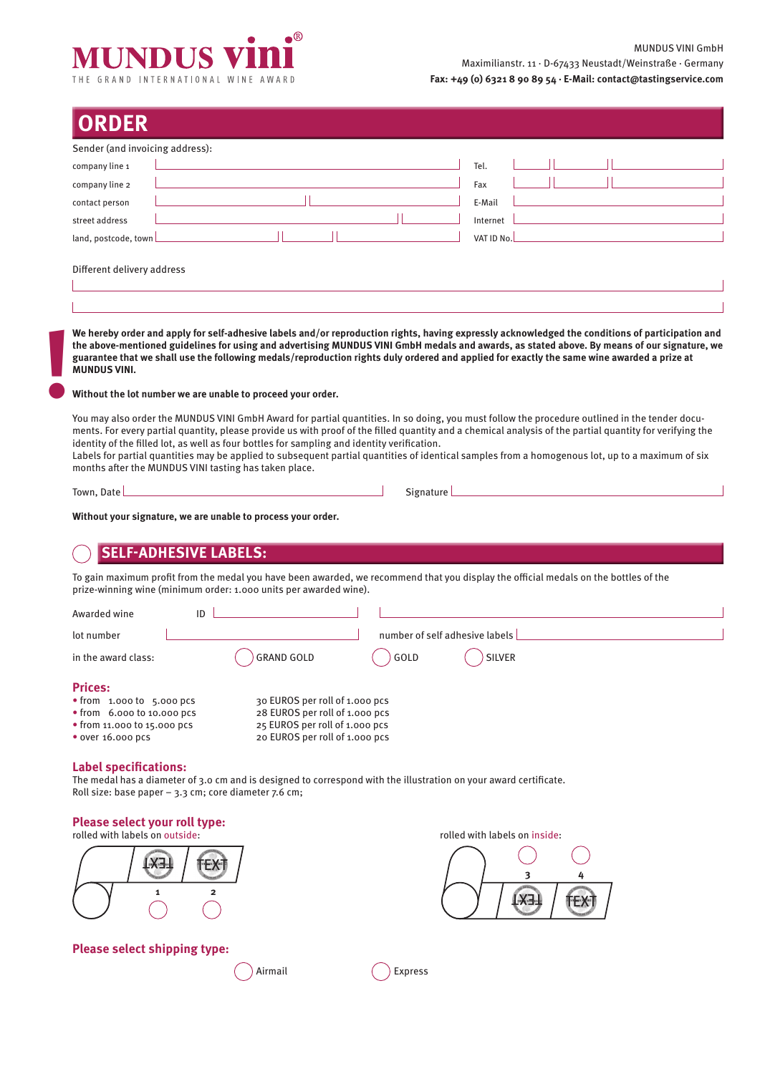

| Sender (and invoicing address):<br>company line 1 | Tel.       |
|---------------------------------------------------|------------|
| company line 2                                    | Fax        |
| contact person                                    | E-Mail     |
| street address                                    | Internet   |
| land, postcode, town                              | VAT ID No. |
| Different delivery address                        |            |

**We hereby order and apply for self-adhesive labels and/or reproduction rights, having expressly acknowledged the conditions of participation and the above-mentioned guidelines for using and advertising MUNDUS VINI GmbH medals and awards, as stated above. By means of our signature, we guarantee that we shall use the following medals/reproduction rights duly ordered and applied for exactly the same wine awarded a prize at MUNDUS VINI. !**

#### **Without the lot number we are unable to proceed your order.**

You may also order the MUNDUS VINI GmbH Award for partial quantities. In so doing, you must follow the procedure outlined in the tender documents. For every partial quantity, please provide us with proof of the filled quantity and a chemical analysis of the partial quantity for verifying the identity of the filled lot, as well as four bottles for sampling and identity verification.

Labels for partial quantities may be applied to subsequent partial quantities of identical samples from a homogenous lot, up to a maximum of six months after the MUNDUS VINI tasting has taken place.

Town, Date **Signature Signature (1996)** Signature (1996) Signature

**Without your signature, we are unable to process your order.**

# **SELF-ADHESIVE LABELS:**

To gain maximum profit from the medal you have been awarded, we recommend that you display the official medals on the bottles of the prize-winning wine (minimum order: 1.000 units per awarded wine).

| Awarded wine                        | ID                             |                                |                                |  |
|-------------------------------------|--------------------------------|--------------------------------|--------------------------------|--|
| lot number                          |                                |                                | number of self adhesive labels |  |
| in the award class:                 | <b>GRAND GOLD</b>              | GOLD                           | <b>SILVER</b>                  |  |
| <b>Prices:</b>                      |                                |                                |                                |  |
| $\bullet$ from 1.000 to 5.000 pcs   | 30 EUROS per roll of 1.000 pcs |                                |                                |  |
| $\bullet$ from 6.000 to 10.000 pcs  | 28 EUROS per roll of 1.000 pcs |                                |                                |  |
| $\bullet$ from 11.000 to 15.000 pcs | 25 EUROS per roll of 1.000 pcs |                                |                                |  |
| • over 16,000 pcs                   |                                | 20 EUROS per roll of 1.000 pcs |                                |  |

# **Label specifications:**

The medal has a diameter of 3.0 cm and is designed to correspond with the illustration on your award certificate. Roll size: base paper – 3.3 cm; core diameter 7.6 cm;

## **Please select your roll type:**

rolled with labels on outside: rolled with labels on inside:





## **Please select shipping type:**

Airmail Express